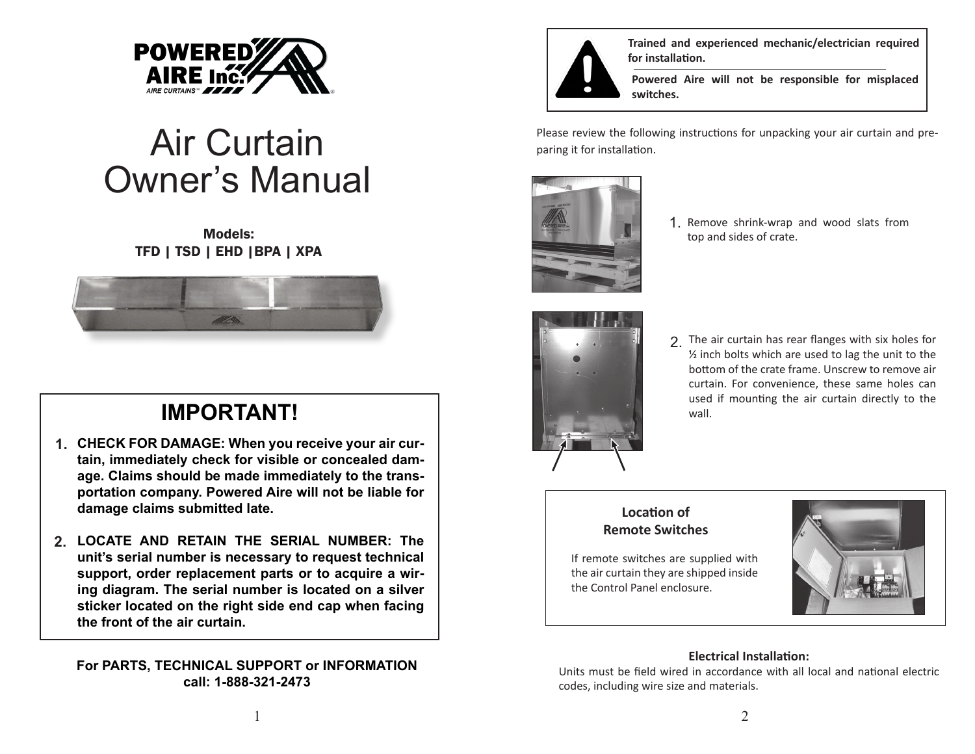

# Air Curtain Owner's Manual

## Models: TFD | TSD | EHD |BPA | XPA



## **IMPORTANT!**

- **CHECK FOR DAMAGE: When you receive your air cur-1. tain, immediately check for visible or concealed damage. Claims should be made immediately to the transportation company. Powered Aire will not be liable for damage claims submitted late.**
- **LOCATE AND RETAIN THE SERIAL NUMBER: The 2. unit's serial number is necessary to request technical support, order replacement parts or to acquire a wiring diagram. The serial number is located on a silver sticker located on the right side end cap when facing the front of the air curtain.**

## **For PARTS, TECHNICAL SUPPORT or INFORMATION call: 1-888-321-2473**



**Trained and experienced mechanic/electrician required for installation.**

**Powered Aire will not be responsible for misplaced switches.**

Please review the following instructions for unpacking your air curtain and preparing it for installation.



1. Remove shrink-wrap and wood slats from top and sides of crate.



2. The air curtain has rear flanges with six holes for  $1/2$  inch bolts which are used to lag the unit to the bottom of the crate frame. Unscrew to remove air curtain. For convenience, these same holes can used if mounting the air curtain directly to the wall.

## **Location of Remote Switches**

If remote switches are supplied with the air curtain they are shipped inside the Control Panel enclosure.



## **Electrical Installation:**

Units must be field wired in accordance with all local and national electric codes, including wire size and materials.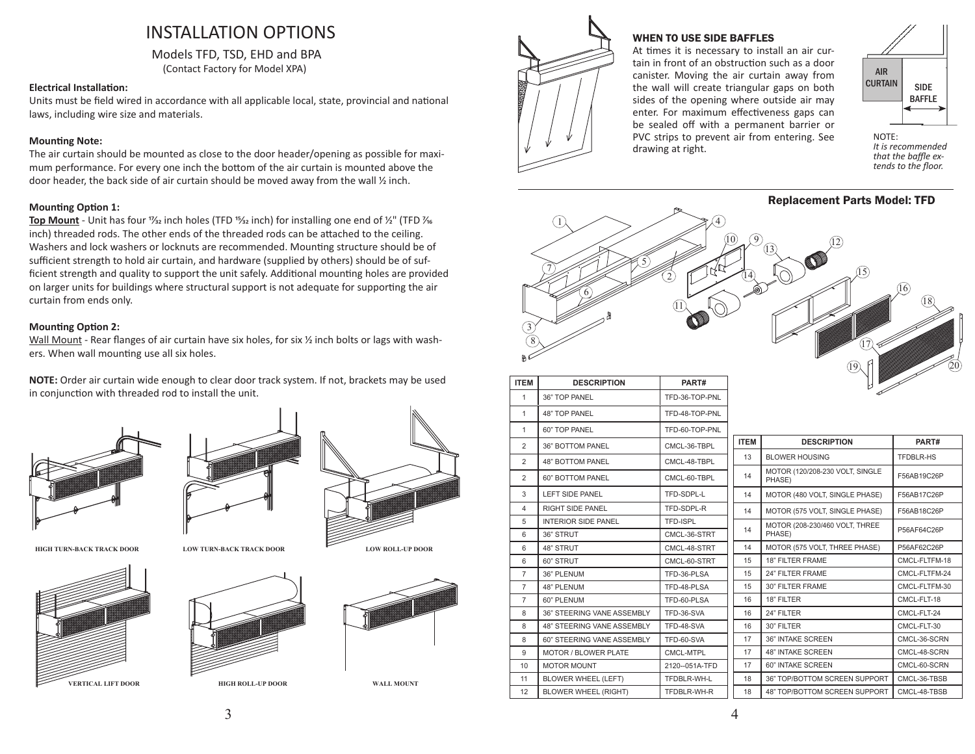## INSTALLATION OPTIONS

Models TFD, TSD, EHD and BPA (Contact Factory for Model XPA)

#### **Electrical Installation:**

Units must be field wired in accordance with all applicable local, state, provincial and national laws, including wire size and materials.

#### **Mounting Note:**

The air curtain should be mounted as close to the door header/opening as possible for maximum performance. For every one inch the bottom of the air curtain is mounted above the door header, the back side of air curtain should be moved away from the wall  $\frac{1}{2}$  inch.

#### **Mounting Option 1:**

**Top Mount** - Unit has four <sup>1</sup>/<sub>32</sub> inch holes (TFD <sup>15</sup>/<sub>32</sub> inch) for installing one end of 1/<sub>2</sub>" (TFD  $\frac{1}{16}$ inch) threaded rods. The other ends of the threaded rods can be attached to the ceiling. Washers and lock washers or locknuts are recommended. Mounting structure should be of sufficient strength to hold air curtain, and hardware (supplied by others) should be of sufficient strength and quality to support the unit safely. Additional mounting holes are provided on larger units for buildings where structural support is not adequate for supporting the air curtain from ends only.

#### **Mounting Option 2:**

Wall Mount - Rear flanges of air curtain have six holes, for six  $\frac{1}{2}$  inch bolts or lags with washers. When wall mounting use all six holes.

**NOTE:** Order air curtain wide enough to clear door track system. If not, brackets may be used in conjunction with threaded rod to install the unit.















**WALL MOUNT**



#### WHEN TO USE SIDE BAFFLES

At times it is necessary to install an air curtain in front of an obstruction such as a door canister. Moving the air curtain away from the wall will create triangular gaps on both sides of the opening where outside air may enter. For maximum effectiveness gaps can be sealed off with a permanent barrier or PVC strips to prevent air from entering. See drawing at right.



*It is recommended that the baffle extends to the floor.*

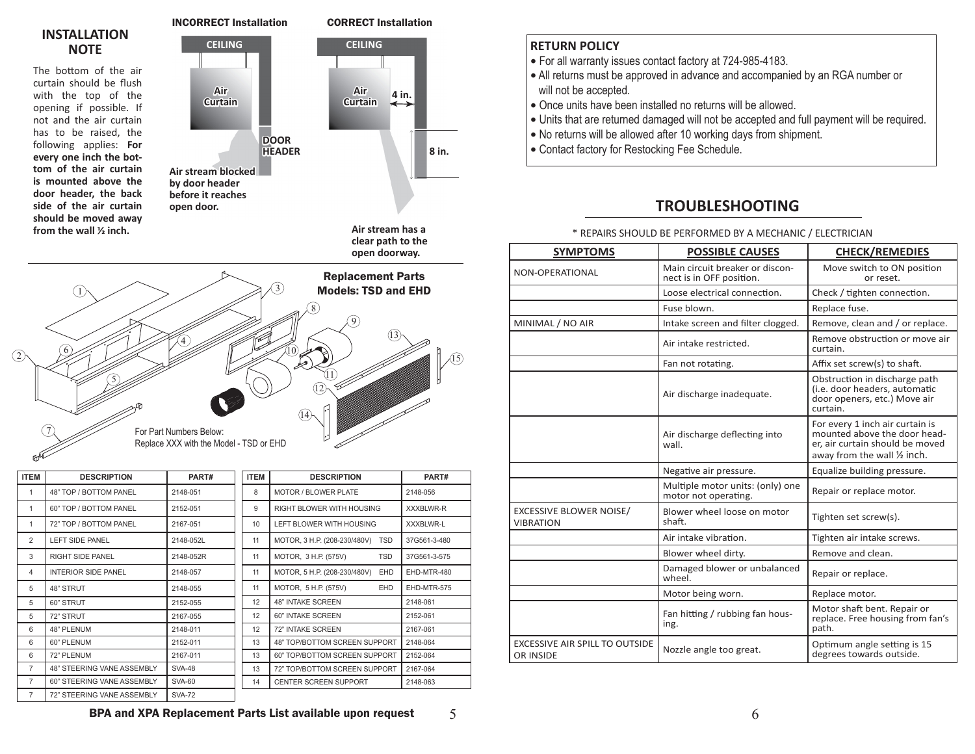## **INSTALLATION NOTE**

The bottom of the air curtain should be flush with the top of the opening if possible. If not and the air curtain has to be raised, the following applies: **For every one inch the bottom of the air curtain is mounted above the door header, the back side of the air curtain should be moved away**  from the wall  $\frac{1}{2}$  inch.

**Air stream blocked by door header before it reaches open door.**

**Air Curtain**

**DOOR**



**Air stream has a clear path to the open doorway.**

5



| <b>ITEM</b>    | <b>DESCRIPTION</b>         | PART#         | <b>ITEM</b> | <b>DESCRIPTION</b>                  | PART#            |
|----------------|----------------------------|---------------|-------------|-------------------------------------|------------------|
| 1              | 48" TOP / BOTTOM PANEL     | 2148-051      | 8           | <b>MOTOR / BLOWER PLATE</b>         | 2148-056         |
| 1              | 60" TOP / BOTTOM PANEL     | 2152-051      | 9           | RIGHT BLOWER WITH HOUSING           | <b>XXXBLWR-R</b> |
| 1              | 72" TOP / BOTTOM PANEL     | 2167-051      | 10          | LEFT BLOWER WITH HOUSING            | <b>XXXBLWR-L</b> |
| $\overline{2}$ | LEFT SIDE PANEL            | 2148-052L     | 11          | MOTOR, 3 H.P. (208-230/480V)<br>TSD | 37G561-3-480     |
| 3              | RIGHT SIDE PANEL           | 2148-052R     | 11          | MOTOR, 3 H.P. (575V)<br><b>TSD</b>  | 37G561-3-575     |
| 4              | <b>INTERIOR SIDE PANEL</b> | 2148-057      | 11          | MOTOR, 5 H.P. (208-230/480V)<br>EHD | EHD-MTR-480      |
| 5              | 48" STRUT                  | 2148-055      | 11          | MOTOR, 5 H.P. (575V)<br><b>EHD</b>  | EHD-MTR-575      |
| 5              | 60" STRUT                  | 2152-055      | 12          | <b>48" INTAKE SCREEN</b>            | 2148-061         |
| 5              | 72" STRUT                  | 2167-055      | 12          | 60" INTAKE SCREEN                   | 2152-061         |
| 6              | 48" PLENUM                 | 2148-011      | 12          | 72" INTAKE SCREEN                   | 2167-061         |
| 6              | 60" PLENUM                 | 2152-011      | 13          | 48" TOP/BOTTOM SCREEN SUPPORT       | 2148-064         |
| 6              | 72" PLENUM                 | 2167-011      | 13          | 60" TOP/BOTTOM SCREEN SUPPORT       | 2152-064         |
| $\overline{7}$ | 48" STEERING VANE ASSEMBLY | <b>SVA-48</b> | 13          | 72" TOP/BOTTOM SCREEN SUPPORT       | 2167-064         |
| $\overline{7}$ | 60" STEERING VANE ASSEMBLY | <b>SVA-60</b> | 14          | <b>CENTER SCREEN SUPPORT</b>        | 2148-063         |
| $\overline{7}$ | 72" STEERING VANE ASSEMBLY | <b>SVA-72</b> |             |                                     |                  |

## **RETURN POLICY**

- For all warranty issues contact factory at 724-985-4183.
- **•** All returns must be approved in advance and accompanied by an RGA number or will not be accepted.
- **•** Once units have been installed no returns will be allowed.
- **•** Units that are returned damaged will not be accepted and full payment will be required.
- No returns will be allowed after 10 working days from shipment.
- Contact factory for Restocking Fee Schedule.

## **TROUBLESHOOTING**

\* REPAIRS SHOULD BE PERFORMED BY A MECHANIC / ELECTRICIAN

| <b>SYMPTOMS</b>                                    | <b>POSSIBLE CAUSES</b>                                      | <b>CHECK/REMEDIES</b>                                                                                                              |
|----------------------------------------------------|-------------------------------------------------------------|------------------------------------------------------------------------------------------------------------------------------------|
| NON-OPERATIONAL                                    | Main circuit breaker or discon-<br>nect is in OFF position. | Move switch to ON position<br>or reset.                                                                                            |
|                                                    | Loose electrical connection.                                | Check / tighten connection.                                                                                                        |
|                                                    | Fuse blown.                                                 | Replace fuse.                                                                                                                      |
| MINIMAL / NO AIR                                   | Intake screen and filter clogged.                           | Remove, clean and / or replace.                                                                                                    |
|                                                    | Air intake restricted.                                      | Remove obstruction or move air<br>curtain.                                                                                         |
|                                                    | Fan not rotating.                                           | Affix set screw(s) to shaft.                                                                                                       |
|                                                    | Air discharge inadequate.                                   | Obstruction in discharge path<br>(i.e. door headers, automatic<br>door openers, etc.) Move air<br>curtain.                         |
|                                                    | Air discharge deflecting into<br>wall.                      | For every 1 inch air curtain is<br>mounted above the door head-<br>er, air curtain should be moved<br>away from the wall 1/2 inch. |
|                                                    | Negative air pressure.                                      | Equalize building pressure.                                                                                                        |
|                                                    | Multiple motor units: (only) one<br>motor not operating.    | Repair or replace motor.                                                                                                           |
| <b>EXCESSIVE BLOWER NOISE/</b><br><b>VIBRATION</b> | Blower wheel loose on motor<br>shaft.                       | Tighten set screw(s).                                                                                                              |
|                                                    | Air intake vibration.                                       | Tighten air intake screws.                                                                                                         |
|                                                    | Blower wheel dirty.                                         | Remove and clean.                                                                                                                  |
|                                                    | Damaged blower or unbalanced<br>wheel.                      | Repair or replace.                                                                                                                 |
|                                                    | Motor being worn.                                           | Replace motor.                                                                                                                     |
|                                                    | Fan hitting / rubbing fan hous-<br>ing.                     | Motor shaft bent. Repair or<br>replace. Free housing from fan's<br>path.                                                           |
| <b>EXCESSIVE AIR SPILL TO OUTSIDE</b><br>OR INSIDE | Nozzle angle too great.                                     | Optimum angle setting is 15<br>degrees towards outside.                                                                            |